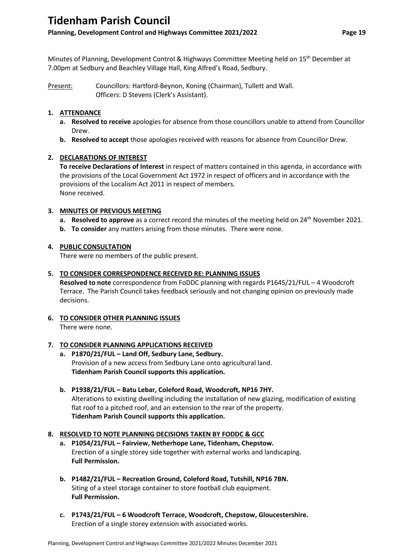## **Tidenham Parish Council**

### **Planning, Development Control and Highways Committee 2021/2022 Page 19**

Minutes of Planning, Development Control & Highways Committee Meeting held on 15<sup>th</sup> December at 7.00pm at Sedbury and Beachley Village Hall, King Alfred's Road, Sedbury.

Present: Councillors: Hartford-Beynon, Koning (Chairman), Tullett and Wall. Officers: D Stevens (Clerk's Assistant).

#### **1. ATTENDANCE**

- **a. Resolved to receive** apologies for absence from those councillors unable to attend from Councillor Drew.
- **b. Resolved to accept** those apologies received with reasons for absence from Councillor Drew.

#### **2. DECLARATIONS OF INTEREST**

**To receive Declarations of Interest** in respect of matters contained in this agenda, in accordance with the provisions of the Local Government Act 1972 in respect of officers and in accordance with the provisions of the Localism Act 2011 in respect of members. None received.

#### **3. MINUTES OF PREVIOUS MEETING**

- **a. Resolved to approve** as a correct record the minutes of the meeting held on 24<sup>th</sup> November 2021.
- **b. To consider** any matters arising from those minutes. There were none.

#### **4. PUBLIC CONSULTATION**

There were no members of the public present.

#### **5. TO CONSIDER CORRESPONDENCE RECEIVED RE: PLANNING ISSUES**

**Resolved to note** correspondence from FoDDC planning with regards P1645/21/FUL – 4 Woodcroft Terrace. The Parish Council takes feedback seriously and not changing opinion on previously made decisions.

**6. TO CONSIDER OTHER PLANNING ISSUES**  There were none.

#### **7. TO CONSIDER PLANNING APPLICATIONS RECEIVED**

- **a. P1870/21/FUL – Land Off, Sedbury Lane, Sedbury.** Provision of a new access from Sedbury Lane onto agricultural land. **Tidenham Parish Council supports this application.**
- **b. P1938/21/FUL – Batu Lebar, Coleford Road, Woodcroft, NP16 7HY.** Alterations to existing dwelling including the installation of new glazing, modification of existing flat roof to a pitched roof, and an extension to the rear of the property. **Tidenham Parish Council supports this application.**

#### **8. RESOLVED TO NOTE PLANNING DECISIONS TAKEN BY FODDC & GCC**

- **a. P1054/21/FUL – Fairview, Netherhope Lane, Tidenham, Chepstow.** Erection of a single storey side together with external works and landscaping. **Full Permission.**
- **b. P1482/21/FUL – Recreation Ground, Coleford Road, Tutshill, NP16 7BN.** Siting of a steel storage container to store football club equipment. **Full Permission.**
- **c. P1743/21/FUL – 6 Woodcroft Terrace, Woodcroft, Chepstow, Gloucestershire.** Erection of a single storey extension with associated works.